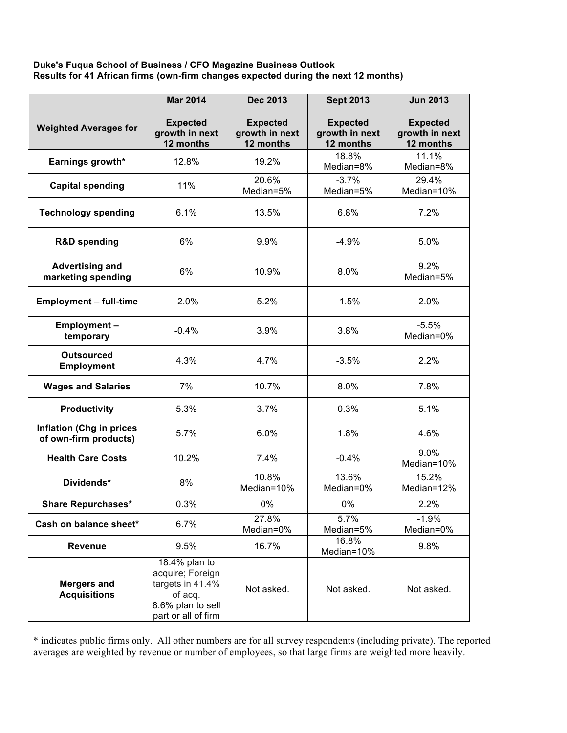## **Duke's Fuqua School of Business / CFO Magazine Business Outlook Results for 41 African firms (own-firm changes expected during the next 12 months)**

|                                                          | <b>Mar 2014</b>                                                                                              | <b>Dec 2013</b>                                | <b>Sept 2013</b>                               | <b>Jun 2013</b>                                |
|----------------------------------------------------------|--------------------------------------------------------------------------------------------------------------|------------------------------------------------|------------------------------------------------|------------------------------------------------|
| <b>Weighted Averages for</b>                             | <b>Expected</b><br>growth in next<br>12 months                                                               | <b>Expected</b><br>growth in next<br>12 months | <b>Expected</b><br>growth in next<br>12 months | <b>Expected</b><br>growth in next<br>12 months |
| Earnings growth*                                         | 12.8%                                                                                                        | 19.2%                                          | 18.8%<br>Median=8%                             | 11.1%<br>Median=8%                             |
| <b>Capital spending</b>                                  | 11%                                                                                                          | 20.6%<br>Median=5%                             | $-3.7%$<br>Median=5%                           | 29.4%<br>Median=10%                            |
| <b>Technology spending</b>                               | 6.1%                                                                                                         | 13.5%                                          | 6.8%                                           | 7.2%                                           |
| <b>R&amp;D spending</b>                                  | 6%                                                                                                           | 9.9%                                           | $-4.9%$                                        | 5.0%                                           |
| <b>Advertising and</b><br>marketing spending             | 6%                                                                                                           | 10.9%                                          | 8.0%                                           | 9.2%<br>Median=5%                              |
| <b>Employment - full-time</b>                            | $-2.0%$                                                                                                      | 5.2%                                           | $-1.5%$                                        | 2.0%                                           |
| <b>Employment-</b><br>temporary                          | $-0.4%$                                                                                                      | 3.9%                                           | 3.8%                                           | $-5.5%$<br>Median=0%                           |
| <b>Outsourced</b><br><b>Employment</b>                   | 4.3%                                                                                                         | 4.7%                                           | $-3.5%$                                        | 2.2%                                           |
| <b>Wages and Salaries</b>                                | 7%                                                                                                           | 10.7%                                          | 8.0%                                           | 7.8%                                           |
| <b>Productivity</b>                                      | 5.3%                                                                                                         | 3.7%                                           | 0.3%                                           | 5.1%                                           |
| <b>Inflation (Chg in prices</b><br>of own-firm products) | 5.7%                                                                                                         | 6.0%                                           | 1.8%                                           | 4.6%                                           |
| <b>Health Care Costs</b>                                 | 10.2%                                                                                                        | 7.4%                                           | $-0.4%$                                        | 9.0%<br>Median=10%                             |
| Dividends*                                               | 8%                                                                                                           | 10.8%<br>Median=10%                            | 13.6%<br>Median=0%                             | 15.2%<br>Median=12%                            |
| <b>Share Repurchases*</b>                                | 0.3%                                                                                                         | 0%                                             | 0%                                             | 2.2%                                           |
| Cash on balance sheet*                                   | 6.7%                                                                                                         | 27.8%<br>Median=0%                             | 5.7%<br>Median=5%                              | $-1.9%$<br>Median=0%                           |
| <b>Revenue</b>                                           | 9.5%                                                                                                         | 16.7%                                          | 16.8%<br>Median=10%                            | 9.8%                                           |
| <b>Mergers and</b><br><b>Acquisitions</b>                | 18.4% plan to<br>acquire; Foreign<br>targets in 41.4%<br>of acq.<br>8.6% plan to sell<br>part or all of firm | Not asked.                                     | Not asked.                                     | Not asked.                                     |

\* indicates public firms only. All other numbers are for all survey respondents (including private). The reported averages are weighted by revenue or number of employees, so that large firms are weighted more heavily.